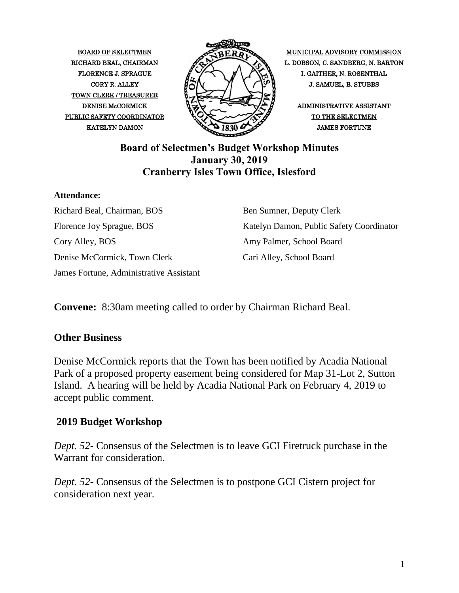TOWN CLERK / TREASURER PUBLIC SAFETY COORDINATOR  $\bigotimes_{\mathcal{A}} \bigotimes_{\mathcal{A}} \bigotimes_{\mathcal{A}} \bigotimes_{\mathcal{A}} \bigotimes_{\mathcal{A}} \bigotimes_{\mathcal{A}} \bigotimes_{\mathcal{A}} \bigotimes_{\mathcal{A}} \bigotimes_{\mathcal{A}} \bigotimes_{\mathcal{A}} \bigotimes_{\mathcal{A}} \bigotimes_{\mathcal{A}} \bigotimes_{\mathcal{A}} \bigotimes_{\mathcal{A}} \bigotimes_{\mathcal{A}} \bigotimes_{\mathcal{A}} \bigotimes_{\mathcal{A}} \bigotimes_{\mathcal$ 



BOARD OF SELECTMEN MUNICIPAL ADVISORY COMMISSION RICHARD BEAL, CHAIRMAN  $\mathscr{P}_{\infty}$  L. DOBSON, C. SANDBERG, N. BARTON FLORENCE J. SPRAGUE I. GAITHER, N. ROSENTHAL CORY R. ALLEY  $\overline{H} \cap N$   $\overline{V}$   $\overline{V}$   $\overline{V}$  J. SAMUEL, B. STUBBS

# **Board of Selectmen's Budget Workshop Minutes January 30, 2019 Cranberry Isles Town Office, Islesford**

#### **Attendance:**

Richard Beal, Chairman, BOS Florence Joy Sprague, BOS Cory Alley, BOS Denise McCormick, Town Clerk James Fortune, Administrative Assistant

Ben Sumner, Deputy Clerk Katelyn Damon, Public Safety Coordinator Amy Palmer, School Board Cari Alley, School Board

**Convene:** 8:30am meeting called to order by Chairman Richard Beal.

### **Other Business**

Denise McCormick reports that the Town has been notified by Acadia National Park of a proposed property easement being considered for Map 31-Lot 2, Sutton Island. A hearing will be held by Acadia National Park on February 4, 2019 to accept public comment.

# **2019 Budget Workshop**

*Dept. 52*- Consensus of the Selectmen is to leave GCI Firetruck purchase in the Warrant for consideration.

*Dept. 52*- Consensus of the Selectmen is to postpone GCI Cistern project for consideration next year.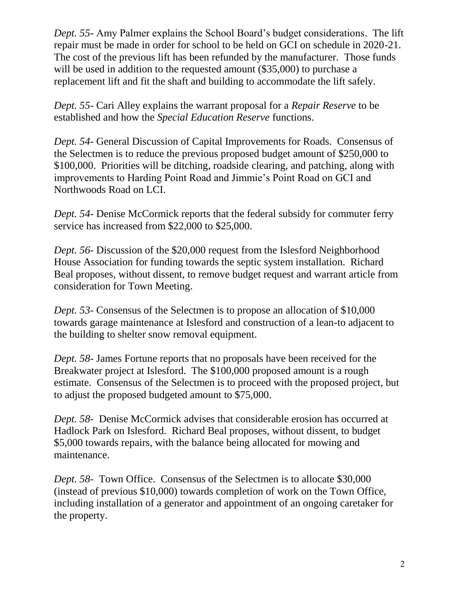*Dept. 55*- Amy Palmer explains the School Board's budget considerations. The lift repair must be made in order for school to be held on GCI on schedule in 2020-21. The cost of the previous lift has been refunded by the manufacturer. Those funds will be used in addition to the requested amount (\$35,000) to purchase a replacement lift and fit the shaft and building to accommodate the lift safely.

*Dept. 55*- Cari Alley explains the warrant proposal for a *Repair Reserve* to be established and how the *Special Education Reserve* functions.

*Dept. 54*- General Discussion of Capital Improvements for Roads. Consensus of the Selectmen is to reduce the previous proposed budget amount of \$250,000 to \$100,000. Priorities will be ditching, roadside clearing, and patching, along with improvements to Harding Point Road and Jimmie's Point Road on GCI and Northwoods Road on LCI.

*Dept. 54*- Denise McCormick reports that the federal subsidy for commuter ferry service has increased from \$22,000 to \$25,000.

*Dept. 56*- Discussion of the \$20,000 request from the Islesford Neighborhood House Association for funding towards the septic system installation. Richard Beal proposes, without dissent, to remove budget request and warrant article from consideration for Town Meeting.

*Dept. 53*- Consensus of the Selectmen is to propose an allocation of \$10,000 towards garage maintenance at Islesford and construction of a lean-to adjacent to the building to shelter snow removal equipment.

*Dept. 58*- James Fortune reports that no proposals have been received for the Breakwater project at Islesford. The \$100,000 proposed amount is a rough estimate. Consensus of the Selectmen is to proceed with the proposed project, but to adjust the proposed budgeted amount to \$75,000.

*Dept. 58-* Denise McCormick advises that considerable erosion has occurred at Hadlock Park on Islesford. Richard Beal proposes, without dissent, to budget \$5,000 towards repairs, with the balance being allocated for mowing and maintenance.

*Dept. 58-* Town Office. Consensus of the Selectmen is to allocate \$30,000 (instead of previous \$10,000) towards completion of work on the Town Office, including installation of a generator and appointment of an ongoing caretaker for the property.